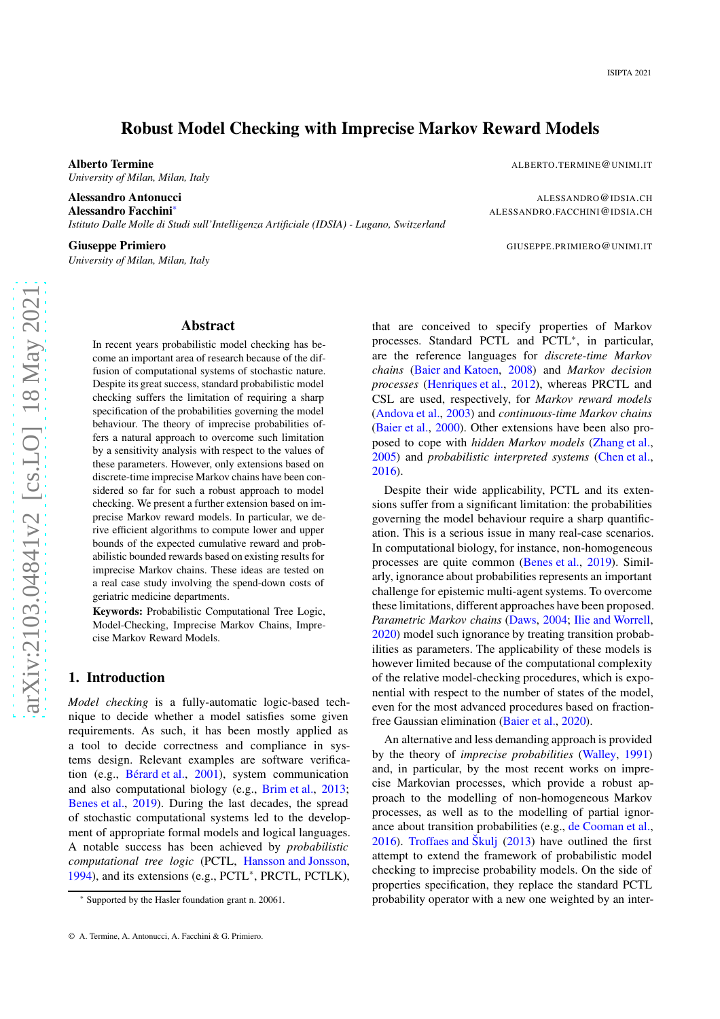# Robust Model Checking with Imprecise Markov Reward Models

Alberto Termine

*University of Milan, Milan, Italy*

Alessandro Antonucci Alessandro Facchini

*Istituto Dalle Molle di Studi sull'Intelligenza Artificiale (IDSIA) - Lugano, Switzerland*

Giuseppe Primiero

*University of Milan, Milan, Italy*

.TERMINE @UNIMI .IT

@IDSIA .CH \* ALESSANDRO .FACCHINI @IDSIA .CH

.PRIMIERO @UNIMI .IT

# arXiv:2103.04841v2 [cs.LO] 18 May 2021 [arXiv:2103.04841v2 \[cs.LO\] 18 May 2021](http://arxiv.org/abs/2103.04841v2)

# Abstract

In recent years probabilistic model checking has become an important area of research because of the diffusion of computational systems of stochastic nature. Despite its great success, standard probabilistic model checking suffers the limitation of requiring a sharp specification of the probabilities governing the model behaviour. The theory of imprecise probabilities offers a natural approach to overcome such limitation by a sensitivity analysis with respect to the values of these parameters. However, only extensions based on discrete-time imprecise Markov chains have been considered so far for such a robust approach to model checking. We present a further extension based on imprecise Markov reward models. In particular, we derive efficient algorithms to compute lower and upper bounds of the expected cumulative reward and probabilistic bounded rewards based on existing results for imprecise Markov chains. These ideas are tested on a real case study involving the spend-down costs of geriatric medicine departments.

Keywords: Probabilistic Computational Tree Logic, Model-Checking, Imprecise Markov Chains, Imprecise Markov Reward Models.

## 1. Introduction

*Model checking* is a fully-automatic logic-based technique to decide whether a model satisfies some given requirements. As such, it has been mostly applied as a tool to decide correctness and compliance in systems design. Relevant examples are software verification (e.g., [Bérard et al.,](#page-9-0) [2001\)](#page-9-0), system communication and also computational biology (e.g., [Brim et al.](#page-9-1), [2013](#page-9-1); [Benes et al.](#page-9-2), [2019\)](#page-9-2). During the last decades, the spread of stochastic computational systems led to the development of appropriate formal models and logical languages. A notable success has been achieved by *probabilistic computational tree logic* (PCTL, [Hansson and Jonsson](#page-9-3) , [1994\)](#page-9-3), and its extensions (e.g., PCTL\*, PRCTL, PCTLK),

that are conceived to specify properties of Markov processes. Standard PCTL and PCTL<sup>\*</sup>, in particular, are the reference languages for *discrete-time Markov chains* [\(Baier and Katoen](#page-9-4) , [2008](#page-9-4)) and *Markov decision processes* [\(Henriques et al.](#page-9-5) , [2012\)](#page-9-5), whereas PRCTL and CSL are used, respectively, for *Markov reward models* [\(Andova et al.,](#page-9-6) [2003\)](#page-9-6) and *continuous-time Markov chains* [\(Baier et al.](#page-9-7), [2000\)](#page-9-7). Other extensions have been also proposed to cope with *hidden Markov models* [\(Zhang et al.](#page-10-0), [2005\)](#page-10-0) and *probabilistic interpreted systems* [\(Chen et al.](#page-9-8) , [2016\)](#page-9-8).

Despite their wide applicability, PCTL and its extensions suffer from a significant limitation: the probabilities governing the model behaviour require a sharp quantification. This is a serious issue in many real-case scenarios. In computational biology, for instance, non-homogeneous processes are quite common [\(Benes et al.](#page-9-2) , [2019\)](#page-9-2). Similarly, ignorance about probabilities represents an important challenge for epistemic multi-agent systems. To overcome these limitations, different approaches have been proposed. Parametric Markov chains [\(Daws](#page-9-9), [2004](#page-9-9); [Ilie and Worrell](#page-10-1), [2020\)](#page-10-1) model such ignorance by treating transition probabilities as parameters. The applicability of these models is however limited because of the computational complexity of the relative model-checking procedures, which is exponential with respect to the number of states of the model, even for the most advanced procedures based on fractionfree Gaussian elimination [\(Baier et al.](#page-9-10), [2020](#page-9-10)).

An alternative and less demanding approach is provided by the theory of *imprecise probabilities* [\(Walley](#page-10-2) , [1991](#page-10-2) ) and, in particular, by the most recent works on imprecise Markovian processes, which provide a robust approach to the modelling of non-homogeneous Markov processes, as well as to the modelling of partial ignorance about transition probabilities (e.g., [de Cooman et al.](#page-9-11), [2016\)](#page-9-11). [Troffaes and Škulj](#page-10-3) [\(2013\)](#page-10-3) have outlined the first attempt to extend the framework of probabilistic model checking to imprecise probability models. On the side of properties specification, they replace the standard PCTL probability operator with a new one weighted by an inter-

<sup>\*</sup> Supported by the Hasler foundation grant n. 20061.

<sup>©</sup> A. Termine, A. Antonucci, A. Facchini & G. Primiero.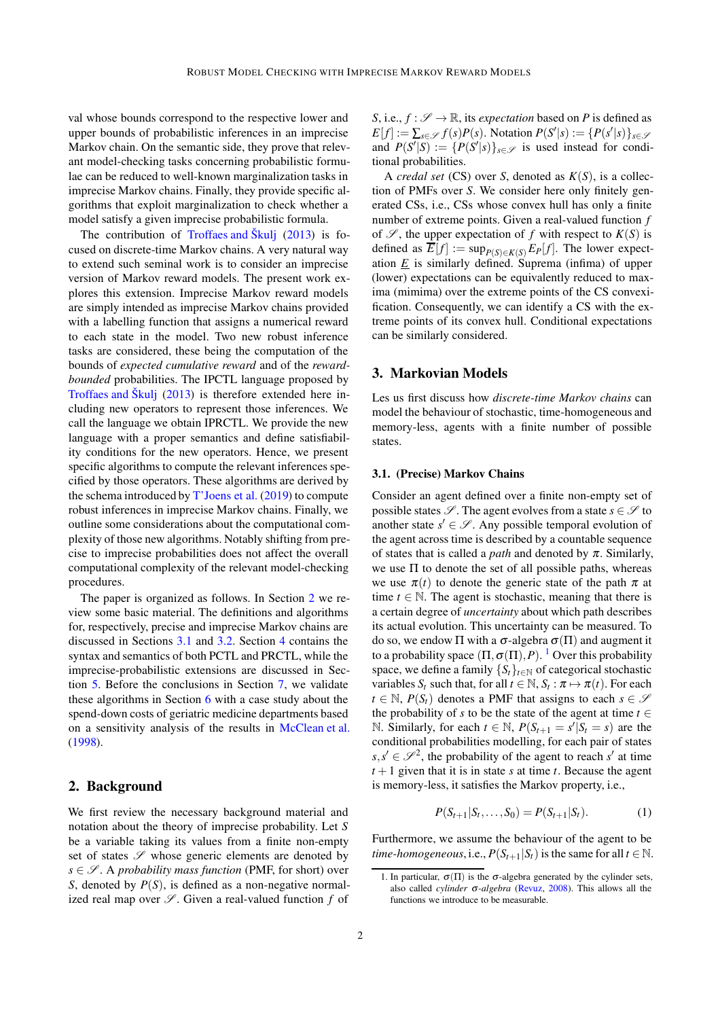val whose bounds correspond to the respective lower and upper bounds of probabilistic inferences in an imprecise Markov chain. On the semantic side, they prove that relevant model-checking tasks concerning probabilistic formulae can be reduced to well-known marginalization tasks in imprecise Markov chains. Finally, they provide specific algorithms that exploit marginalization to check whether a model satisfy a given imprecise probabilistic formula.

The contribution of [Troffaes and Škulj](#page-10-3) [\(2013](#page-10-3)) is focused on discrete-time Markov chains. A very natural way to extend such seminal work is to consider an imprecise version of Markov reward models. The present work explores this extension. Imprecise Markov reward models are simply intended as imprecise Markov chains provided with a labelling function that assigns a numerical reward to each state in the model. Two new robust inference tasks are considered, these being the computation of the bounds of *expected cumulative reward* and of the *rewardbounded* probabilities. The IPCTL language proposed by [Troffaes and Škulj](#page-10-3) [\(2013\)](#page-10-3) is therefore extended here including new operators to represent those inferences. We call the language we obtain IPRCTL. We provide the new language with a proper semantics and define satisfiability conditions for the new operators. Hence, we present specific algorithms to compute the relevant inferences specified by those operators. These algorithms are derived by the schema introduced by [T'Joens et al.](#page-10-4) [\(2019\)](#page-10-4) to compute robust inferences in imprecise Markov chains. Finally, we outline some considerations about the computational complexity of those new algorithms. Notably shifting from precise to imprecise probabilities does not affect the overall computational complexity of the relevant model-checking procedures.

The paper is organized as follows. In Section [2](#page-1-0) we review some basic material. The definitions and algorithms for, respectively, precise and imprecise Markov chains are discussed in Sections [3.1](#page-1-1) and [3.2.](#page-2-0) Section [4](#page-3-0) contains the syntax and semantics of both PCTL and PRCTL, while the imprecise-probabilistic extensions are discussed in Section [5.](#page-5-0) Before the conclusions in Section [7,](#page-9-12) we validate these algorithms in Section [6](#page-8-0) with a case study about the spend-down costs of geriatric medicine departments based on a sensitivity analysis of the results in [McClean et al.](#page-10-5) [\(1998\)](#page-10-5).

# <span id="page-1-0"></span>2. Background

We first review the necessary background material and notation about the theory of imprecise probability. Let *S* be a variable taking its values from a finite non-empty set of states  $\mathscr S$  whose generic elements are denoted by  $s \in \mathscr{S}$ . A *probability mass function* (PMF, for short) over *S*, denoted by  $P(S)$ , is defined as a non-negative normalized real map over  $\mathscr S$ . Given a real-valued function  $f$  of

*S*, i.e.,  $f : \mathcal{S} \to \mathbb{R}$ , its *expectation* based on *P* is defined as  $E[f] := \sum_{s \in \mathcal{S}} f(s)P(s)$ . Notation  $P(S'|s) := \{P(s'|s)\}_{s \in \mathcal{S}}$ and  $P(S' | S) := \{P(S' | s)\}_{s \in \mathcal{S}}$  is used instead for conditional probabilities.

A *credal set* (CS) over *S*, denoted as  $K(S)$ , is a collection of PMFs over *S*. We consider here only finitely generated CSs, i.e., CSs whose convex hull has only a finite number of extreme points. Given a real-valued function *f* of  $\mathscr S$ , the upper expectation of f with respect to  $K(S)$  is defined as  $\overline{E}[f] := \sup_{P(S) \in K(S)} E_P[f]$ . The lower expectation *E* is similarly defined. Suprema (infima) of upper (lower) expectations can be equivalently reduced to maxima (mimima) over the extreme points of the CS convexification. Consequently, we can identify a CS with the extreme points of its convex hull. Conditional expectations can be similarly considered.

# 3. Markovian Models

Les us first discuss how *discrete-time Markov chains* can model the behaviour of stochastic, time-homogeneous and memory-less, agents with a finite number of possible states.

#### <span id="page-1-1"></span>3.1. (Precise) Markov Chains

Consider an agent defined over a finite non-empty set of possible states  $\mathscr{S}$ . The agent evolves from a state  $s \in \mathscr{S}$  to another state  $s' \in \mathcal{S}$ . Any possible temporal evolution of the agent across time is described by a countable sequence of states that is called a *path* and denoted by  $\pi$ . Similarly, we use  $\Pi$  to denote the set of all possible paths, whereas we use  $\pi(t)$  to denote the generic state of the path  $\pi$  at time  $t \in \mathbb{N}$ . The agent is stochastic, meaning that there is a certain degree of *uncertainty* about which path describes its actual evolution. This uncertainty can be measured. To do so, we endow Π with a  $\sigma$ -algebra  $\sigma(\Pi)$  and augment it to a probability space  $(\Pi, \sigma(\Pi), P)$ . <sup>[1](#page-1-2)</sup> Over this probability space, we define a family  ${S_t}_{t \in \mathbb{N}}$  of categorical stochastic variables  $S_t$  such that, for all  $t \in \mathbb{N}$ ,  $S_t : \pi \mapsto \pi(t)$ . For each  $t \in \mathbb{N}$ ,  $P(S_t)$  denotes a PMF that assigns to each  $s \in \mathcal{S}$ the probability of *s* to be the state of the agent at time  $t \in$ N. Similarly, for each  $t \in \mathbb{N}$ ,  $P(S_{t+1} = s'|S_t = s)$  are the conditional probabilities modelling, for each pair of states  $s, s' \in \mathcal{S}^2$ , the probability of the agent to reach *s'* at time  $t + 1$  given that it is in state *s* at time *t*. Because the agent is memory-less, it satisfies the Markov property, i.e.,

$$
P(S_{t+1}|S_t,\ldots,S_0) = P(S_{t+1}|S_t). \tag{1}
$$

Furthermore, we assume the behaviour of the agent to be *time-homogeneous*, i.e.,  $P(S_{t+1}|S_t)$  is the same for all  $t \in \mathbb{N}$ .

<span id="page-1-2"></span><sup>1.</sup> In particular,  $\sigma(\Pi)$  is the  $\sigma$ -algebra generated by the cylinder sets, also called *cylinder* <sup>σ</sup>*-algebra* [\(Revuz](#page-10-6), [2008](#page-10-6)). This allows all the functions we introduce to be measurable.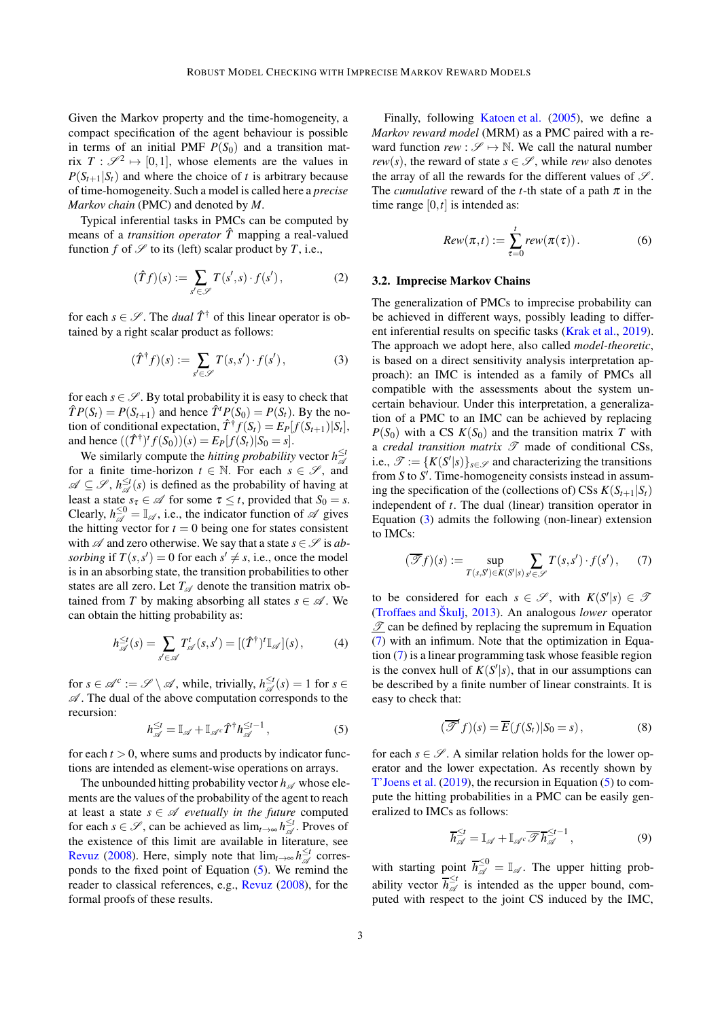Given the Markov property and the time-homogeneity, a compact specification of the agent behaviour is possible in terms of an initial PMF  $P(S_0)$  and a transition matrix  $T: \mathscr{S}^2 \mapsto [0,1]$ , whose elements are the values in  $P(S_{t+1}|S_t)$  and where the choice of *t* is arbitrary because of time-homogeneity. Such a model is called here a *precise Markov chain* (PMC) and denoted by *M*.

Typical inferential tasks in PMCs can be computed by means of a *transition operator*  $\hat{T}$  mapping a real-valued function *f* of  $\mathscr S$  to its (left) scalar product by *T*, i.e.,

$$
(\hat{T}f)(s) := \sum_{s' \in \mathscr{S}} T(s', s) \cdot f(s'),\tag{2}
$$

for each  $s \in \mathcal{S}$ . The *dual*  $\hat{T}^{\dagger}$  of this linear operator is obtained by a right scalar product as follows:

<span id="page-2-2"></span>
$$
(\hat{T}^{\dagger}f)(s) := \sum_{s' \in \mathscr{S}} T(s, s') \cdot f(s'), \tag{3}
$$

for each  $s \in \mathscr{S}$ . By total probability it is easy to check that  $\hat{T}P(S_t) = P(S_{t+1})$  and hence  $\hat{T}^tP(S_0) = P(S_t)$ . By the notion of conditional expectation,  $\hat{T}^{\dagger} f(S_t) = E_P[f(S_{t+1})|S_t],$ and hence  $((\hat{T}^{\dagger})^t f(S_0))(s) = E_P[f(S_t)|S_0 = s].$ 

We similarly compute the *hitting probability* vector  $h_{\mathcal{A}}^{\leq t}$ for a finite time-horizon  $t \in \mathbb{N}$ . For each  $s \in \mathscr{S}$ , and  $\mathscr{A} \subseteq \mathscr{S}, h_{\mathscr{A}}^{\leq t}(s)$  is defined as the probability of having at least a state  $s_{\tau} \in \mathcal{A}$  for some  $\tau \leq t$ , provided that  $S_0 = s$ . Clearly,  $h_{\mathcal{A}}^{\leq 0} = \mathbb{I}_{\mathcal{A}}$ , i.e., the indicator function of  $\mathcal A$  gives the hitting vector for  $t = 0$  being one for states consistent with  $\mathscr A$  and zero otherwise. We say that a state  $s \in \mathscr S$  is ab*sorbing* if  $T(s, s') = 0$  for each  $s' \neq s$ , i.e., once the model is in an absorbing state, the transition probabilities to other states are all zero. Let  $T_{\mathscr{A}}$  denote the transition matrix obtained from *T* by making absorbing all states  $s \in \mathcal{A}$ . We can obtain the hitting probability as:

<span id="page-2-4"></span>
$$
h_{\mathscr{A}}^{\leq t}(s) = \sum_{s' \in \mathscr{A}} T_{\mathscr{A}}^t(s, s') = [(\hat{T}^{\dagger})^t \mathbb{I}_{\mathscr{A}}](s), \tag{4}
$$

for  $s \in \mathcal{A}^c := \mathcal{S} \setminus \mathcal{A}$ , while, trivially,  $h_{\mathcal{A}}^{\leq t}(s) = 1$  for  $s \in$  $\mathscr A$ . The dual of the above computation corresponds to the recursion:

<span id="page-2-1"></span>
$$
h_{\mathcal{A}}^{\leq t} = \mathbb{I}_{\mathcal{A}} + \mathbb{I}_{\mathcal{A}} \hat{T}^{\dagger} h_{\mathcal{A}}^{\leq t-1}, \tag{5}
$$

for each  $t > 0$ , where sums and products by indicator functions are intended as element-wise operations on arrays.

The unbounded hitting probability vector  $h_{\mathscr{A}}$  whose elements are the values of the probability of the agent to reach at least a state  $s \in \mathcal{A}$  *evetually in the future* computed for each  $s \in \mathscr{S}$ , can be achieved as  $\lim_{t \to \infty} h_{\mathscr{A}}^{\leq t}$ . Proves of the existence of this limit are available in literature, see [Revuz](#page-10-6) [\(2008\)](#page-10-6). Here, simply note that  $\lim_{t\to\infty} h_{\mathcal{A}}^{\leq t}$  corresponds to the fixed point of Equation [\(5\)](#page-2-1). We remind the reader to classical references, e.g., [Revuz](#page-10-6) [\(2008\)](#page-10-6), for the formal proofs of these results.

Finally, following [Katoen et al.](#page-10-7) [\(2005](#page-10-7)), we define a *Markov reward model* (MRM) as a PMC paired with a reward function  $rew : \mathscr{S} \mapsto \mathbb{N}$ . We call the natural number *rew*(*s*), the reward of state  $s \in \mathcal{S}$ , while *rew* also denotes the array of all the rewards for the different values of  $\mathscr{S}$ . The *cumulative* reward of the *t*-th state of a path  $\pi$  in the time range  $[0, t]$  is intended as:

<span id="page-2-5"></span>
$$
Rew(\pi, t) := \sum_{\tau=0}^{t} rew(\pi(\tau)).
$$
 (6)

#### <span id="page-2-0"></span>3.2. Imprecise Markov Chains

The generalization of PMCs to imprecise probability can be achieved in different ways, possibly leading to different inferential results on specific tasks [\(Krak et al.](#page-10-8), [2019\)](#page-10-8). The approach we adopt here, also called *model-theoretic*, is based on a direct sensitivity analysis interpretation approach): an IMC is intended as a family of PMCs all compatible with the assessments about the system uncertain behaviour. Under this interpretation, a generalization of a PMC to an IMC can be achieved by replacing  $P(S_0)$  with a CS  $K(S_0)$  and the transition matrix *T* with a *credal transition matrix*  $\mathscr T$  made of conditional CSs, i.e.,  $\mathscr{T} := \{K(S'|s)\}_{s \in \mathscr{S}}$  and characterizing the transitions from *S* to *S* ′ . Time-homogeneity consists instead in assuming the specification of the (collections of) CSs  $K(S_{t+1}|S_t)$ independent of *t*. The dual (linear) transition operator in Equation [\(3\)](#page-2-2) admits the following (non-linear) extension to IMCs:

<span id="page-2-3"></span>
$$
(\overline{\mathscr{T}}f)(s) := \sup_{T(s,S') \in K(S'|s)} \sum_{s' \in \mathscr{S}} T(s,s') \cdot f(s'), \qquad (7)
$$

to be considered for each  $s \in \mathcal{S}$ , with  $K(S'|s) \in \mathcal{S}$ [\(Troffaes and Škulj](#page-10-3), [2013](#page-10-3)). An analogous *lower* operator  $\mathcal{I}$  can be defined by replacing the supremum in Equation [\(7\)](#page-2-3) with an infimum. Note that the optimization in Equation [\(7\)](#page-2-3) is a linear programming task whose feasible region is the convex hull of  $K(S'|s)$ , that in our assumptions can be described by a finite number of linear constraints. It is easy to check that:

$$
(\overline{\mathcal{F}}^t f)(s) = \overline{E}(f(S_t)|S_0 = s), \qquad (8)
$$

for each  $s \in \mathscr{S}$ . A similar relation holds for the lower operator and the lower expectation. As recently shown by [T'Joens et al.](#page-10-4) [\(2019](#page-10-4)), the recursion in Equation [\(5\)](#page-2-1) to compute the hitting probabilities in a PMC can be easily generalized to IMCs as follows:

<span id="page-2-6"></span>
$$
\overline{h}_{\mathscr{A}}^{\leq t} = \mathbb{I}_{\mathscr{A}} + \mathbb{I}_{\mathscr{A}} \overline{\mathscr{T}} \overline{h}_{\mathscr{A}}^{\leq t-1},\tag{9}
$$

with starting point  $\overline{h}_{\mathscr{A}}^{\leq 0} = \mathbb{I}_{\mathscr{A}}$ . The upper hitting probability vector  $\overline{h}_{\mathscr{A}}^{\leq t}$  is intended as the upper bound, computed with respect to the joint CS induced by the IMC,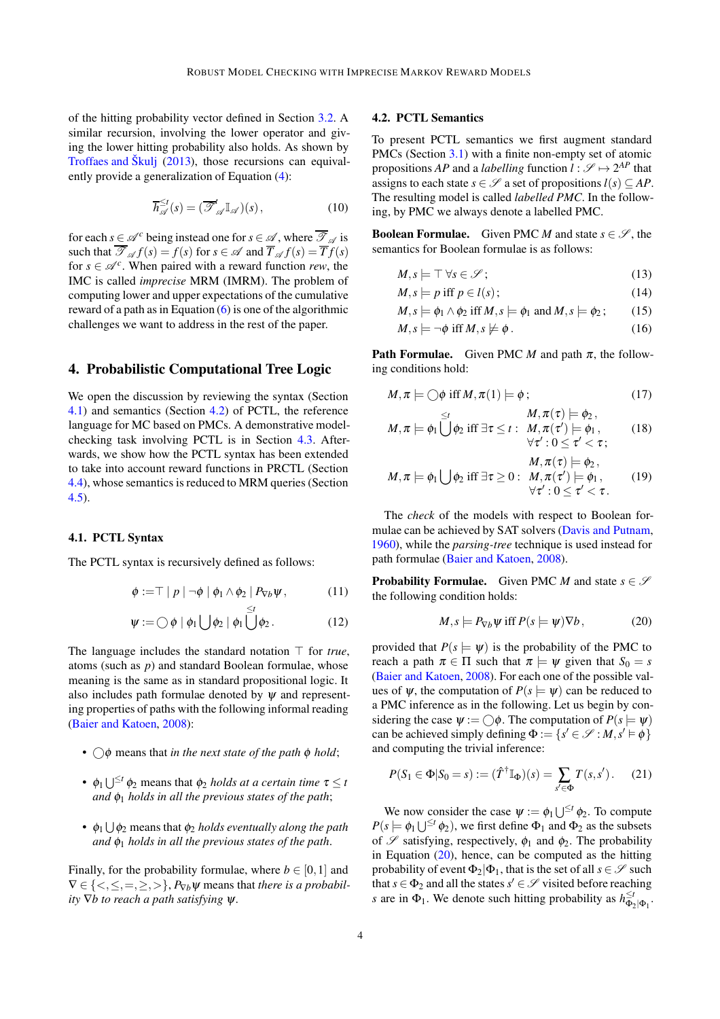of the hitting probability vector defined in Section [3.2.](#page-2-0) A similar recursion, involving the lower operator and giving the lower hitting probability also holds. As shown by [Troffaes and Škulj](#page-10-3) [\(2013\)](#page-10-3), those recursions can equivalently provide a generalization of Equation [\(4\)](#page-2-4):

<span id="page-3-6"></span>
$$
\overline{h}_{\mathscr{A}}^{\leq t}(s) = (\overline{\mathscr{F}}_{\mathscr{A}}^t \mathbb{I}_{\mathscr{A}})(s), \qquad (10)
$$

for each  $s \in \mathcal{A}^c$  being instead one for  $s \in \mathcal{A}$ , where  $\overline{\mathcal{I}}_{\mathcal{A}}$  is such that  $\overline{\mathcal{F}}_{\mathcal{A}} f(s) = f(s)$  for  $s \in \mathcal{A}$  and  $\overline{T}_{\mathcal{A}} f(s) = \overline{T} f(s)$ for  $s \in \mathcal{A}^c$ . When paired with a reward function *rew*, the IMC is called *imprecise* MRM (IMRM). The problem of computing lower and upper expectations of the cumulative reward of a path as in Equation  $(6)$  is one of the algorithmic challenges we want to address in the rest of the paper.

# <span id="page-3-0"></span>4. Probabilistic Computational Tree Logic

We open the discussion by reviewing the syntax (Section [4.1\)](#page-3-1) and semantics (Section [4.2\)](#page-3-2) of PCTL, the reference language for MC based on PMCs. A demonstrative modelchecking task involving PCTL is in Section [4.3.](#page-4-0) Afterwards, we show how the PCTL syntax has been extended to take into account reward functions in PRCTL (Section [4.4\)](#page-4-1), whose semantics is reduced to MRM queries (Section [4.5\)](#page-4-2).

### <span id="page-3-1"></span>4.1. PCTL Syntax

The PCTL syntax is recursively defined as follows:

$$
\phi := \top | p | \neg \phi | \phi_1 \wedge \phi_2 | P_{\nabla b} \psi, \qquad (11)
$$

$$
\psi := \bigcirc \phi \mid \phi_1 \bigcup \phi_2 \mid \phi_1 \bigcup \phi_2. \tag{12}
$$

The language includes the standard notation ⊤ for *true*, atoms (such as *p*) and standard Boolean formulae, whose meaning is the same as in standard propositional logic. It also includes path formulae denoted by  $\psi$  and representing properties of paths with the following informal reading [\(Baier and Katoen,](#page-9-4) [2008\)](#page-9-4):

- $\bigcirc$   $\phi$  means that *in the next state of the path*  $\phi$  *hold*;
- $\phi_1 \bigcup^{\leq t} \phi_2$  means that  $\phi_2$  *holds at a certain time*  $\tau \leq t$ *and*  $\phi_1$  *holds in all the previous states of the path*;
- $\bullet$   $\phi_1 \cup \phi_2$  means that  $\phi_2$  *holds eventually along the path and* φ<sup>1</sup> *holds in all the previous states of the path*.

Finally, for the probability formulae, where  $b \in [0,1]$  and  $\nabla \in \{ \langle \langle \cdot, \langle \cdot, = \rangle \rangle, \}$ ,  $P_{\nabla h} \psi$  means that *there is a probability* ∇*b to reach a path satisfying* ψ.

#### <span id="page-3-2"></span>4.2. PCTL Semantics

To present PCTL semantics we first augment standard PMCs (Section [3.1\)](#page-1-1) with a finite non-empty set of atomic propositions *AP* and a *labelling* function  $l : \mathcal{S} \mapsto 2^{AP}$  that assigns to each state  $s \in \mathscr{S}$  a set of propositions  $l(s) \subset AP$ . The resulting model is called *labelled PMC*. In the following, by PMC we always denote a labelled PMC.

**Boolean Formulae.** Given PMC *M* and state  $s \in \mathcal{S}$ , the semantics for Boolean formulae is as follows:

$$
M, s \models \top \forall s \in \mathscr{S};\tag{13}
$$

$$
M, s \models p \text{ iff } p \in l(s); \tag{14}
$$

$$
M, s \models \phi_1 \land \phi_2 \text{ iff } M, s \models \phi_1 \text{ and } M, s \models \phi_2; \qquad (15)
$$

$$
M, s \models \neg \phi \text{ iff } M, s \not\models \phi. \tag{16}
$$

**Path Formulae.** Given PMC *M* and path  $\pi$ , the following conditions hold:

$$
M, \pi \models \bigcirc \phi \text{ iff } M, \pi(1) \models \phi ; \tag{17}
$$

$$
M, \pi \models \phi_1 \bigcup_{\forall 2}^{\leq t} \phi_2 \text{ iff } \exists \tau \leq t : M, \pi(\tau) \models \phi_2, \\ \forall \tau' : 0 \leq \tau' < \tau; \qquad (18)
$$

$$
M, \pi \models \phi_1 \bigcup \phi_2 \text{ iff } \exists \tau \geq 0: \begin{array}{l} M, \pi(\tau) \models \phi_2, \\ M, \pi(\tau') \models \phi_1, \\ \forall \tau': 0 \leq \tau' < \tau. \end{array} \tag{19}
$$

The *check* of the models with respect to Boolean formulae can be achieved by SAT solvers [\(Davis and Putnam](#page-9-13), [1960\)](#page-9-13), while the *parsing-tree* technique is used instead for path formulae [\(Baier and Katoen,](#page-9-4) [2008\)](#page-9-4).

<span id="page-3-4"></span>**Probability Formulae.** Given PMC *M* and state  $s \in \mathcal{S}$ the following condition holds:

<span id="page-3-3"></span>
$$
M, s \models P_{\nabla b} \psi \text{ iff } P(s \models \psi) \nabla b, \qquad (20)
$$

<span id="page-3-5"></span>provided that  $P(s \models \psi)$  is the probability of the PMC to reach a path  $\pi \in \Pi$  such that  $\pi \models \psi$  given that  $S_0 = s$ [\(Baier and Katoen](#page-9-4), [2008\)](#page-9-4). For each one of the possible values of  $\psi$ , the computation of  $P(s \models \psi)$  can be reduced to a PMC inference as in the following. Let us begin by considering the case  $\psi := \bigcap \phi$ . The computation of  $P(s \models \psi)$ can be achieved simply defining  $\Phi := \{s' \in \mathcal{S} : M, s' \models \phi\}$ and computing the trivial inference:

<span id="page-3-7"></span>
$$
P(S_1 \in \Phi | S_0 = s) := (\hat{T}^{\dagger} \mathbb{I}_{\Phi})(s) = \sum_{s' \in \Phi} T(s, s'). \tag{21}
$$

We now consider the case  $\psi := \phi_1 \bigcup^{\leq t} \phi_2$ . To compute  $P(s \models \phi_1 \bigcup^{\leq t} \phi_2)$ , we first define  $\Phi_1$  and  $\Phi_2$  as the subsets of  $\mathscr S$  satisfying, respectively,  $\phi_1$  and  $\phi_2$ . The probability in Equation  $(20)$ , hence, can be computed as the hitting probability of event  $\Phi_2|\Phi_1$ , that is the set of all  $s \in \mathcal{S}$  such that  $s \in \Phi_2$  and all the states  $s' \in \mathcal{S}$  visited before reaching *s* are in  $\Phi_1$ . We denote such hitting probability as  $h_{\Phi_2|\Phi_1}^{\leq t}$ .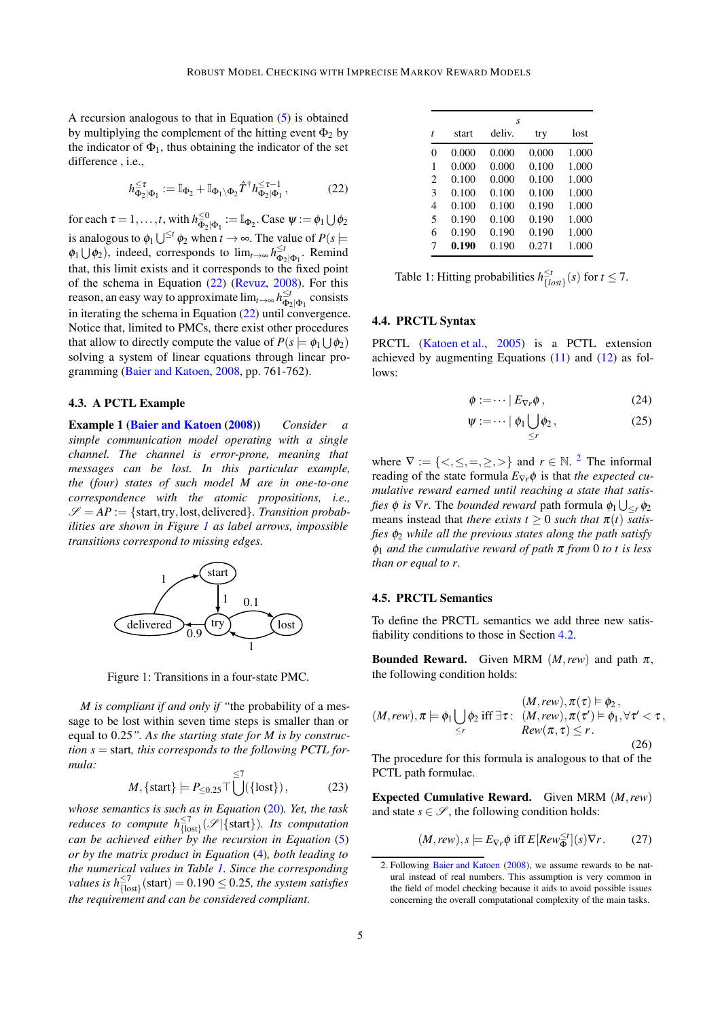A recursion analogous to that in Equation [\(5\)](#page-2-1) is obtained by multiplying the complement of the hitting event  $\Phi_2$  by the indicator of  $\Phi_1$ , thus obtaining the indicator of the set difference, *i.e.*,

<span id="page-4-3"></span>
$$
h_{\Phi_2|\Phi_1}^{\leq \tau} := \mathbb{I}_{\Phi_2} + \mathbb{I}_{\Phi_1 \setminus \Phi_2} \hat{T}^\dagger h_{\Phi_2|\Phi_1}^{\leq \tau - 1},\tag{22}
$$

for each  $\tau = 1, \ldots, t$ , with  $h_{\Phi_2}^{\leq 0}$  $\mathcal{L}^{ \leq 0}_{\Phi_2|\Phi_1}:=\mathbb{I}_{\Phi_2}$ . Case  $\psi:=\phi_1\bigcup \phi_2$ is analogous to  $\phi_1 \bigcup^{\leq t} \phi_2$  when  $t \to \infty$ . The value of  $P(s \models$  $\phi_1 \cup \phi_2$ , indeed, corresponds to  $\lim_{t \to \infty} h_{\Phi_2|\Phi_1}^{\leq t}$ . Remind that, this limit exists and it corresponds to the fixed point of the schema in Equation [\(22\)](#page-4-3) [\(Revuz,](#page-10-6) [2008\)](#page-10-6). For this reason, an easy way to approximate  $\lim_{t\to\infty} h_{\Phi_2|\Phi_1}^{\leq t}$  consists in iterating the schema in Equation [\(22\)](#page-4-3) until convergence. Notice that, limited to PMCs, there exist other procedures that allow to directly compute the value of  $P(s \models \phi_1 \cup \phi_2)$ solving a system of linear equations through linear programming [\(Baier and Katoen](#page-9-4), [2008](#page-9-4), pp. 761-762).

## <span id="page-4-4"></span><span id="page-4-0"></span>4.3. A PCTL Example

Example 1 [\(Baier and Katoen](#page-9-4) [\(2008\)](#page-9-4)) *Consider a simple communication model operating with a single channel. The channel is error-prone, meaning that messages can be lost. In this particular example, the (four) states of such model M are in one-to-one correspondence with the atomic propositions, i.e.,*  $\mathscr{S} = AP := \{$ start, try, lost, delivered $\}$ . Transition probab*ilities are shown in Figure [1](#page-4-4) as label arrows, impossible transitions correspond to missing edges.*



Figure 1: Transitions in a four-state PMC.

*M is compliant if and only if "*the probability of a message to be lost within seven time steps is smaller than or equal to 0.25*". As the starting state for M is by construction s* = start*, this corresponds to the following PCTL formula:*

$$
M, \{ \text{start} \} \models P_{\leq 0.25} \top \bigcup^{\leq 7} (\{ \text{lost} \}), \tag{23}
$$

*whose semantics is such as in Equation* [\(20\)](#page-3-3)*. Yet, the task reduces to compute*  $h^{\leq 7}_{\{\text{lost}\}}(\mathscr{S}|\{\text{start}\})$ *. Its computation can be achieved either by the recursion in Equation* [\(5\)](#page-2-1) *or by the matrix product in Equation* [\(4\)](#page-2-4)*, both leading to the numerical values in Table [1.](#page-4-5) Since the corresponding values is*  $h_{\{\text{lost}\}}^{\leq 7}$  (start) = 0.190  $\leq$  0.25, the system satisfies *the requirement and can be considered compliant.*

|                             | S     |        |       |       |  |  |  |  |
|-----------------------------|-------|--------|-------|-------|--|--|--|--|
| t                           | start | deliv. | try   | lost  |  |  |  |  |
| 0                           | 0.000 | 0.000  | 0.000 | 1.000 |  |  |  |  |
| 1                           | 0.000 | 0.000  | 0.100 | 1.000 |  |  |  |  |
| $\mathcal{D}_{\mathcal{L}}$ | 0.100 | 0.000  | 0.100 | 1.000 |  |  |  |  |
| 3                           | 0.100 | 0.100  | 0.100 | 1.000 |  |  |  |  |
| 4                           | 0.100 | 0.100  | 0.190 | 1.000 |  |  |  |  |
| 5                           | 0.190 | 0.100  | 0.190 | 1.000 |  |  |  |  |
| 6                           | 0.190 | 0.190  | 0.190 | 1.000 |  |  |  |  |
| 7                           | 0.190 | 0.190  | 0.271 | 1.000 |  |  |  |  |

<span id="page-4-5"></span>Table 1: Hitting probabilities  $h_{LL}^{\leq t}$  $\frac{\leq t}{\{lost\}}(s)$  for  $t \leq 7$ .

#### <span id="page-4-1"></span>4.4. PRCTL Syntax

PRCTL [\(Katoen et al.](#page-10-7), [2005\)](#page-10-7) is a PCTL extension achieved by augmenting Equations [\(11\)](#page-3-4) and [\(12\)](#page-3-5) as follows:

<span id="page-4-8"></span><span id="page-4-7"></span>
$$
\phi := \dots \mid E_{\nabla r} \phi \,, \tag{24}
$$

$$
\psi := \dots \mid \phi_1 \bigcup_{\leq r} \phi_2 \,, \tag{25}
$$

where  $\nabla := \{ \langle \xi, \xi, =, \xi \rangle \}$  and  $r \in \mathbb{N}$ . <sup>[2](#page-4-6)</sup> The informal reading of the state formula  $E_{\nabla r} \phi$  is that *the expected cumulative reward earned until reaching a state that satisfies*  $\phi$  *is*  $\nabla r$ *. The <i>bounded reward* path formula  $\phi_1 \bigcup_{\leq r} \phi_2$ means instead that *there exists*  $t \geq 0$  *such that*  $\pi(t)$  *satisfies* φ<sup>2</sup> *while all the previous states along the path satisfy* φ<sup>1</sup> *and the cumulative reward of path* <sup>π</sup> *from* 0 *to t is less than or equal to r*.

#### <span id="page-4-2"></span>4.5. PRCTL Semantics

To define the PRCTL semantics we add three new satisfiability conditions to those in Section [4.2.](#page-3-2)

**Bounded Reward.** Given MRM  $(M,rew)$  and path  $\pi$ , the following condition holds:

$$
(M,rew), \pi \models \phi_1 \bigcup_{\leq r} \phi_2 \text{ iff } \exists \tau : (M,rew), \pi(\tau) \models \phi_2, \\ Rev(\pi, \tau) \leq r.
$$
\n
$$
(26)
$$

The procedure for this formula is analogous to that of the PCTL path formulae.

Expected Cumulative Reward. Given MRM (*M*,*rew*) and state  $s \in \mathcal{S}$ , the following condition holds:

<span id="page-4-9"></span>
$$
(M,rew), s \models E_{\nabla r} \phi \text{ iff } E[Row_{\Phi}^{\leq t}](s) \nabla r. \qquad (27)
$$

<span id="page-4-6"></span><sup>2.</sup> Following [Baier and Katoen](#page-9-4) [\(2008\)](#page-9-4), we assume rewards to be natural instead of real numbers. This assumption is very common in the field of model checking because it aids to avoid possible issues concerning the overall computational complexity of the main tasks.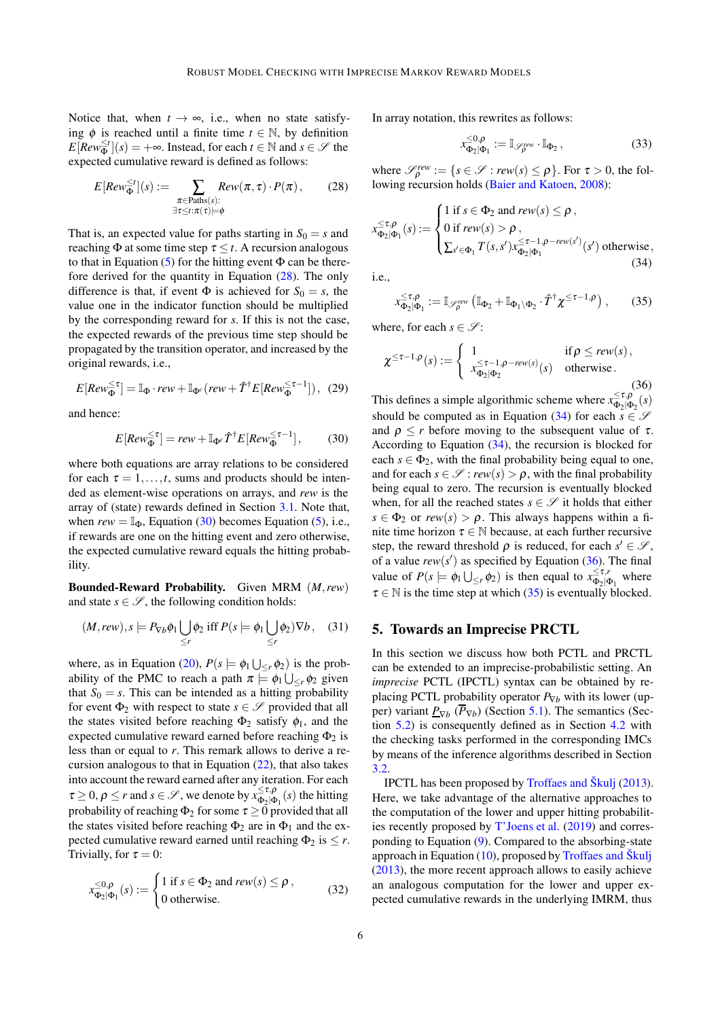Notice that, when  $t \to \infty$ , i.e., when no state satisfying  $\phi$  is reached until a finite time  $t \in \mathbb{N}$ , by definition  $E[Rev_{\Phi}^{\leq t}](s) = +\infty$ . Instead, for each  $t \in \mathbb{N}$  and  $s \in \mathscr{S}$  the expected cumulative reward is defined as follows:

<span id="page-5-1"></span>
$$
E[Row_{\Phi}^{\leq t}](s) := \sum_{\substack{\pi \in \text{Paths}(s):\\ \exists \tau \leq t:\pi(\tau) \models \phi}} Rev(\pi, \tau) \cdot P(\pi),\qquad(28)
$$

That is, an expected value for paths starting in  $S_0 = s$  and reaching  $\Phi$  at some time step  $\tau \leq t$ . A recursion analogous to that in Equation  $(5)$  for the hitting event  $\Phi$  can be therefore derived for the quantity in Equation [\(28\)](#page-5-1). The only difference is that, if event  $\Phi$  is achieved for  $S_0 = s$ , the value one in the indicator function should be multiplied by the corresponding reward for *s*. If this is not the case, the expected rewards of the previous time step should be propagated by the transition operator, and increased by the original rewards, i.e.,

$$
E[Rev_{\Phi}^{\leq \tau}] = \mathbb{I}_{\Phi} \cdot rev + \mathbb{I}_{\Phi^c}(rew + \hat{T}^{\dagger} E[Rev_{\Phi}^{\leq \tau-1}]), (29)
$$

and hence:

<span id="page-5-2"></span>
$$
E[Rev_{\Phi}^{\leq \tau}] = rew + \mathbb{I}_{\Phi^c} \hat{T}^{\dagger} E[Rev_{\Phi}^{\leq \tau-1}], \quad (30)
$$

where both equations are array relations to be considered for each  $\tau = 1, \ldots, t$ , sums and products should be intended as element-wise operations on arrays, and *rew* is the array of (state) rewards defined in Section [3.1.](#page-1-1) Note that, when  $rew = \mathbb{I}_{\Phi}$ , Equation [\(30\)](#page-5-2) becomes Equation [\(5\)](#page-2-1), i.e., if rewards are one on the hitting event and zero otherwise, the expected cumulative reward equals the hitting probability.

Bounded-Reward Probability. Given MRM (*M*,*rew*) and state  $s \in \mathcal{S}$ , the following condition holds:

<span id="page-5-6"></span>
$$
(M,rew), s \models P_{\nabla b} \phi_1 \bigcup_{\leq r} \phi_2 \text{ iff } P(s \models \phi_1 \bigcup_{\leq r} \phi_2) \nabla b, \quad (31)
$$

where, as in Equation [\(20\)](#page-3-3),  $P(s \models \phi_1 \bigcup_{\leq r} \phi_2)$  is the probability of the PMC to reach a path  $\pi \models \phi_1 \bigcup_{\leq r} \phi_2$  given that  $S_0 = s$ . This can be intended as a hitting probability for event  $\Phi_2$  with respect to state  $s \in \mathcal{S}$  provided that all the states visited before reaching  $\Phi_2$  satisfy  $\phi_1$ , and the expected cumulative reward earned before reaching  $\Phi_2$  is less than or equal to *r*. This remark allows to derive a recursion analogous to that in Equation [\(22\)](#page-4-3), that also takes into account the reward earned after any iteration. For each  $\tau \geq 0$ ,  $\rho \leq r$  and  $s \in \mathscr{S}$ , we denote by  $x_{\Phi_{\alpha}|\Phi}^{\leq \tau,\rho}$  $\frac{\sum_i \mu_j}{\Phi_2|\Phi_1}(s)$  the hitting probability of reaching  $\Phi_2$  for some  $\tau \geq 0$  provided that all the states visited before reaching  $\Phi_2$  are in  $\Phi_1$  and the expected cumulative reward earned until reaching  $\Phi_2$  is  $\leq r$ . Trivially, for  $\tau = 0$ :

$$
x_{\Phi_2|\Phi_1}^{\leq 0,\rho}(s) := \begin{cases} 1 \text{ if } s \in \Phi_2 \text{ and } \text{rew}(s) \leq \rho, \\ 0 \text{ otherwise.} \end{cases}
$$
 (32)

In array notation, this rewrites as follows:

<span id="page-5-7"></span>
$$
x_{\Phi_2|\Phi_1}^{\leq 0,\rho} := \mathbb{I}_{\mathscr{S}_\rho^{rev}} \cdot \mathbb{I}_{\Phi_2},\tag{33}
$$

where  $\mathcal{S}_{\rho}^{rew} := \{ s \in \mathcal{S} : \text{rew}(s) \leq \rho \}.$  For  $\tau > 0$ , the following recursion holds [\(Baier and Katoen](#page-9-4), [2008](#page-9-4)):

<span id="page-5-3"></span>
$$
x_{\Phi_2|\Phi_1}^{\leq \tau,\rho}(s) := \begin{cases} 1 \text{ if } s \in \Phi_2 \text{ and } \text{rew}(s) \leq \rho, \\ 0 \text{ if } \text{rew}(s) > \rho, \\ \sum_{s' \in \Phi_1} T(s,s') x_{\Phi_2|\Phi_1}^{\leq \tau-1,\rho-\text{rew}(s')}(s') \text{ otherwise}, \end{cases}
$$
(34)

i.e.,

<span id="page-5-5"></span>
$$
x_{\Phi_2|\Phi_1}^{\leq \tau,\rho} := \mathbb{I}_{\mathscr{S}_{\rho}^{\text{rew}}} \left( \mathbb{I}_{\Phi_2} + \mathbb{I}_{\Phi_1 \setminus \Phi_2} \cdot \hat{T}^{\dagger} \chi^{\leq \tau-1,\rho} \right), \qquad (35)
$$

where, for each  $s \in \mathcal{S}$ :

<span id="page-5-4"></span>
$$
\chi^{\leq \tau-1,\rho}(s) := \begin{cases} 1 & \text{if } \rho \leq \text{rew}(s), \\ x_{\Phi_2|\Phi_2}^{\leq \tau-1,\rho-\text{rew}(s)}(s) & \text{otherwise.} \end{cases}
$$
(36)

This defines a simple algorithmic scheme where  $x_{\Phi_{\alpha}}^{\leq\tau,\rho}$  $\frac{\sum_i \mu_i}{\Phi_2|\Phi_2}(s)$ should be computed as in Equation [\(34\)](#page-5-3) for each  $s \in \mathcal{S}$ and  $\rho \le r$  before moving to the subsequent value of  $\tau$ . According to Equation [\(34\)](#page-5-3), the recursion is blocked for each  $s \in \Phi_2$ , with the final probability being equal to one, and for each  $s \in \mathcal{S}$ :  $rew(s) > \rho$ , with the final probability being equal to zero. The recursion is eventually blocked when, for all the reached states  $s \in \mathcal{S}$  it holds that either  $s \in \Phi_2$  or  $rew(s) > \rho$ . This always happens within a finite time horizon  $\tau \in \mathbb{N}$  because, at each further recursive step, the reward threshold  $\rho$  is reduced, for each  $s' \in \mathcal{S}$ , of a value  $rew(s')$  as specified by Equation [\(36\)](#page-5-4). The final value of  $P(s \models \phi_1 \cup_{\leq r} \phi_2)$  is then equal to  $x_{\Phi_2 | d}^{\leq \tau, r}$  $\frac{d \leq \tau, r}{d_2 | \Phi_1}$  where  $\tau \in \mathbb{N}$  is the time step at which [\(35\)](#page-5-5) is eventually blocked.

## <span id="page-5-0"></span>5. Towards an Imprecise PRCTL

In this section we discuss how both PCTL and PRCTL can be extended to an imprecise-probabilistic setting. An *imprecise* PCTL (IPCTL) syntax can be obtained by replacing PCTL probability operator  $P_{\nabla b}$  with its lower (upper) variant  $P_{\nabla b}$  ( $\overline{P}_{\nabla b}$ ) (Section [5.1\)](#page-6-0). The semantics (Section [5.2\)](#page-6-1) is consequently defined as in Section [4.2](#page-3-2) with the checking tasks performed in the corresponding IMCs by means of the inference algorithms described in Section [3.2.](#page-2-0)

IPCTL has been proposed by [Troffaes and Škulj](#page-10-3) [\(2013\)](#page-10-3). Here, we take advantage of the alternative approaches to the computation of the lower and upper hitting probabilities recently proposed by [T'Joens et al.](#page-10-4) [\(2019\)](#page-10-4) and corresponding to Equation [\(9\)](#page-2-6). Compared to the absorbing-state approach in Equation [\(10\)](#page-3-6), proposed by [Troffaes and Škulj](#page-10-3) [\(2013\)](#page-10-3), the more recent approach allows to easily achieve an analogous computation for the lower and upper expected cumulative rewards in the underlying IMRM, thus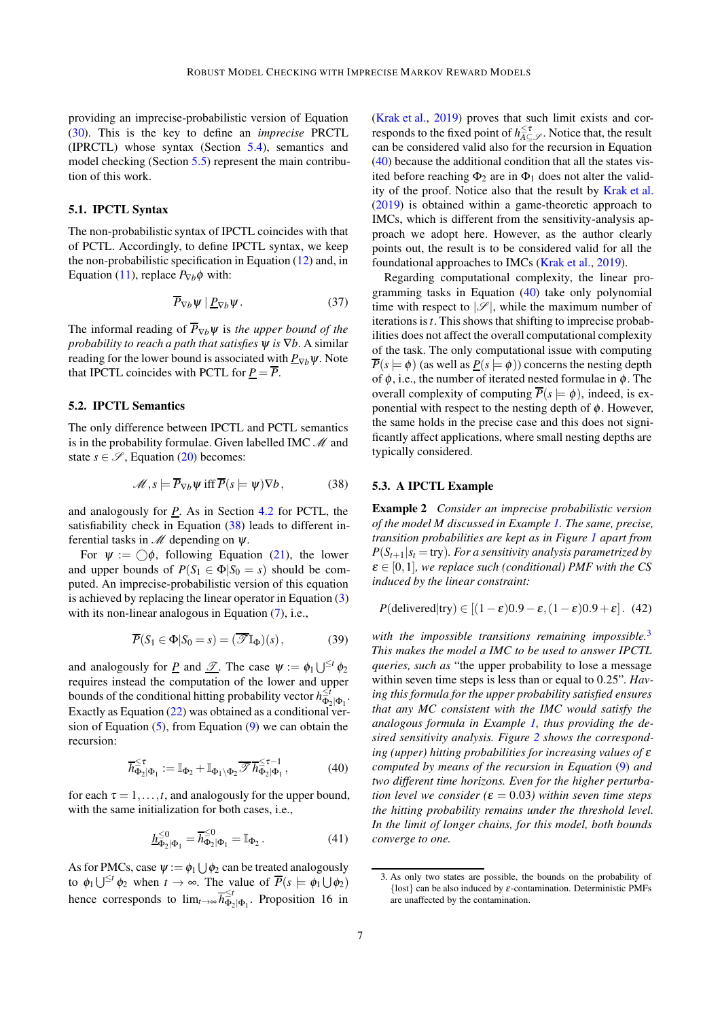providing an imprecise-probabilistic version of Equation [\(30\)](#page-5-2). This is the key to define an *imprecise* PRCTL (IPRCTL) whose syntax (Section [5.4\)](#page-7-0), semantics and model checking (Section [5.5\)](#page-7-1) represent the main contribution of this work.

## <span id="page-6-0"></span>5.1. IPCTL Syntax

The non-probabilistic syntax of IPCTL coincides with that of PCTL. Accordingly, to define IPCTL syntax, we keep the non-probabilistic specification in Equation [\(12\)](#page-3-5) and, in Equation [\(11\)](#page-3-4), replace  $P_{\nabla b} \phi$  with:

$$
\overline{P}_{\nabla b}\psi \mid \underline{P}_{\nabla b}\psi. \tag{37}
$$

The informal reading of  $\overline{P}_{\nabla b}\psi$  is *the upper bound of the probability to reach a path that satisfies* ψ *is* ∇*b*. A similar reading for the lower bound is associated with  $P_{\nabla b}\psi$ . Note that IPCTL coincides with PCTL for  $P = \overline{P}$ .

#### <span id="page-6-1"></span>5.2. IPCTL Semantics

The only difference between IPCTL and PCTL semantics is in the probability formulae. Given labelled IMC  $\mathcal M$  and state  $s \in \mathscr{S}$ , Equation [\(20\)](#page-3-3) becomes:

<span id="page-6-2"></span>
$$
\mathcal{M}, s \models \overline{P}_{\nabla b} \psi \text{ iff } \overline{P}(s \models \psi) \nabla b, \tag{38}
$$

and analogously for *P*. As in Section [4.2](#page-3-2) for PCTL, the satisfiability check in Equation [\(38\)](#page-6-2) leads to different inferential tasks in  $\mathcal M$  depending on  $\psi$ .

For  $\psi := \bigcirc \phi$ , following Equation [\(21\)](#page-3-7), the lower and upper bounds of  $P(S_1 \in \Phi | S_0 = s)$  should be computed. An imprecise-probabilistic version of this equation is achieved by replacing the linear operator in Equation [\(3\)](#page-2-2) with its non-linear analogous in Equation [\(7\)](#page-2-3), i.e.,

$$
\overline{P}(S_1 \in \Phi | S_0 = s) = (\overline{\mathcal{F}} \mathbb{I}_{\Phi})(s), \tag{39}
$$

and analogously for <u>P</u> and <u> $\mathscr{T}$ </u>. The case  $\psi := \phi_1 \bigcup^{\leq t} \phi_2$ requires instead the computation of the lower and upper bounds of the conditional hitting probability vector  $h_{\Phi_2|\Phi_1}^{\leq t}$ . Exactly as Equation [\(22\)](#page-4-3) was obtained as a conditional version of Equation  $(5)$ , from Equation  $(9)$  we can obtain the recursion:

<span id="page-6-3"></span>
$$
\overline{h}_{\Phi_2|\Phi_1}^{\leq \tau} := \mathbb{I}_{\Phi_2} + \mathbb{I}_{\Phi_1 \setminus \Phi_2} \overline{\mathscr{F}} \overline{h}_{\Phi_2|\Phi_1}^{\leq \tau - 1}, \tag{40}
$$

for each  $\tau = 1, \ldots, t$ , and analogously for the upper bound, with the same initialization for both cases, i.e.,

$$
\underline{h}_{\Phi_2|\Phi_1}^{\leq 0} = \overline{h}_{\Phi_2|\Phi_1}^{\leq 0} = \mathbb{I}_{\Phi_2}.
$$
 (41)

As for PMCs, case  $\psi := \phi_1 \cup \phi_2$  can be treated analogously to  $\phi_1 \bigcup^{\leq t} \phi_2$  when  $t \to \infty$ . The value of  $\overline{P}(s \models \phi_1 \cup \phi_2)$ hence corresponds to  $\lim_{t\to\infty} \overline{h}_{\Phi_2}^{\leq t}$  $\frac{\tilde{\Theta}_2}{\Phi_2|\Phi_1}$ . Proposition 16 in

[\(Krak et al.](#page-10-8), [2019\)](#page-10-8) proves that such limit exists and corresponds to the fixed point of  $h^{\leq \tau}_{A \subseteq \mathscr{S}}$ . Notice that, the result can be considered valid also for the recursion in Equation  $(40)$  because the additional condition that all the states visited before reaching  $\Phi_2$  are in  $\Phi_1$  does not alter the validity of the proof. Notice also that the result by [Krak et al.](#page-10-8) [\(2019\)](#page-10-8) is obtained within a game-theoretic approach to IMCs, which is different from the sensitivity-analysis approach we adopt here. However, as the author clearly points out, the result is to be considered valid for all the foundational approaches to IMCs [\(Krak et al.](#page-10-8), [2019](#page-10-8)).

Regarding computational complexity, the linear programming tasks in Equation [\(40\)](#page-6-3) take only polynomial time with respect to  $|\mathscr{S}|$ , while the maximum number of iterations is*t*. This shows that shifting to imprecise probabilities does not affect the overall computational complexity of the task. The only computational issue with computing  $\overline{P}(s \models \phi)$  (as well as  $P(s \models \phi)$ ) concerns the nesting depth of  $\phi$ , i.e., the number of iterated nested formulae in  $\phi$ . The overall complexity of computing  $\overline{P}(s \models \phi)$ , indeed, is exponential with respect to the nesting depth of  $\phi$ . However, the same holds in the precise case and this does not significantly affect applications, where small nesting depths are typically considered.

#### 5.3. A IPCTL Example

Example 2 *Consider an imprecise probabilistic version of the model M discussed in Example [1.](#page-4-4) The same, precise, transition probabilities are kept as in Figure [1](#page-4-4) apart from*  $P(S_{t+1}|s_t = \text{try})$ *. For a sensitivity analysis parametrized by*  $\varepsilon \in [0,1]$ *, we replace such (conditional) PMF with the CS induced by the linear constraint:*

$$
P(\text{delivered}|\text{try}) \in [(1-\varepsilon)0.9 - \varepsilon, (1-\varepsilon)0.9 + \varepsilon]. \tag{42}
$$

*with the impossible transitions remaining impossible.*[3](#page-6-4) *This makes the model a IMC to be used to answer IPCTL queries, such as* "the upper probability to lose a message within seven time steps is less than or equal to 0.25"*. Having this formula for the upper probability satisfied ensures that any MC consistent with the IMC would satisfy the analogous formula in Example [1,](#page-4-4) thus providing the desired sensitivity analysis. Figure [2](#page-7-2) shows the corresponding (upper) hitting probabilities for increasing values of* <sup>ε</sup> *computed by means of the recursion in Equation* [\(9\)](#page-2-6) *and two different time horizons. Even for the higher perturbation level we consider* ( $\varepsilon = 0.03$ ) *within seven time steps the hitting probability remains under the threshold level. In the limit of longer chains, for this model, both bounds converge to one.*

<span id="page-6-4"></span><sup>3.</sup> As only two states are possible, the bounds on the probability of {lost} can be also induced by  $\varepsilon$ -contamination. Deterministic PMFs are unaffected by the contamination.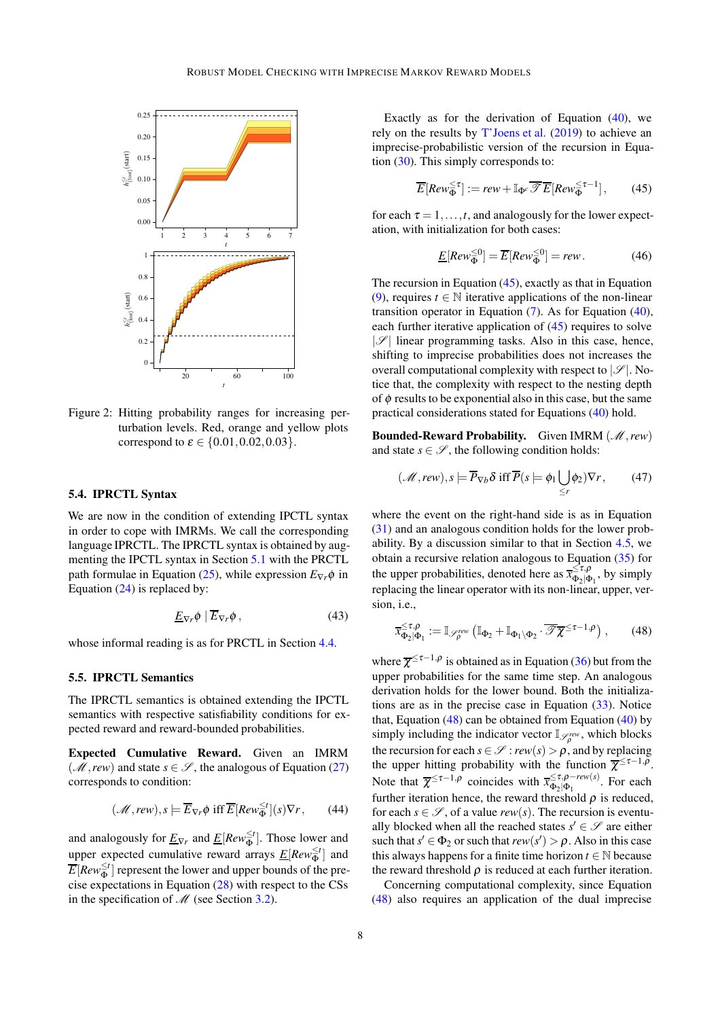

<span id="page-7-2"></span>Figure 2: Hitting probability ranges for increasing perturbation levels. Red, orange and yellow plots correspond to  $\varepsilon \in \{0.01, 0.02, 0.03\}.$ 

### <span id="page-7-0"></span>5.4. IPRCTL Syntax

We are now in the condition of extending IPCTL syntax in order to cope with IMRMs. We call the corresponding language IPRCTL. The IPRCTL syntax is obtained by augmenting the IPCTL syntax in Section [5.1](#page-6-0) with the PRCTL path formulae in Equation [\(25\)](#page-4-7), while expression  $E_{\nabla r} \phi$  in Equation  $(24)$  is replaced by:

$$
\underline{E}_{\nabla r}\phi \mid \overline{E}_{\nabla r}\phi ,\qquad (43)
$$

whose informal reading is as for PRCTL in Section [4.4.](#page-4-1)

#### <span id="page-7-1"></span>5.5. IPRCTL Semantics

The IPRCTL semantics is obtained extending the IPCTL semantics with respective satisfiability conditions for expected reward and reward-bounded probabilities.

Expected Cumulative Reward. Given an IMRM (*M*, *rew*) and state  $s \in \mathcal{S}$ , the analogous of Equation [\(27\)](#page-4-9) corresponds to condition:

<span id="page-7-5"></span>
$$
(\mathcal{M}, \text{rew}), s \models \overline{E}_{\nabla r} \phi \text{ iff } \overline{E}[{\text{Rev}_{\Phi}^{\leq t}}](s) \nabla r, \qquad (44)
$$

and analogously for  $\underline{E}_{\nabla r}$  and  $\underline{E}[Re w_{\Phi}^{\leq t}]$ . Those lower and upper expected cumulative reward arrays  $E[Rev\frac{\leq t}{\Phi}]$  and  $\overline{E}[{\mathit{Row}}^{\leq t}_\Phi]$  represent the lower and upper bounds of the precise expectations in Equation [\(28\)](#page-5-1) with respect to the CSs in the specification of  $\mathcal{M}$  (see Section [3.2\)](#page-2-0).

Exactly as for the derivation of Equation [\(40\)](#page-6-3), we rely on the results by [T'Joens et al.](#page-10-4) [\(2019\)](#page-10-4) to achieve an imprecise-probabilistic version of the recursion in Equation [\(30\)](#page-5-2). This simply corresponds to:

<span id="page-7-3"></span>
$$
\overline{E}[Row_{\Phi}^{\leq \tau}] := \text{rew} + \mathbb{I}_{\Phi^c}\overline{\mathscr{T}}\overline{E}[Row_{\Phi}^{\leq \tau-1}], \qquad (45)
$$

for each  $\tau = 1, \ldots, t$ , and analogously for the lower expectation, with initialization for both cases:

$$
\underline{E}[Rew_{\Phi}^{\leq 0}] = \overline{E}[Rew_{\Phi}^{\leq 0}] = rew.
$$
 (46)

The recursion in Equation [\(45\)](#page-7-3), exactly as that in Equation [\(9\)](#page-2-6), requires  $t \in \mathbb{N}$  iterative applications of the non-linear transition operator in Equation [\(7\)](#page-2-3). As for Equation [\(40\)](#page-6-3), each further iterative application of [\(45\)](#page-7-3) requires to solve  $|\mathscr{S}|$  linear programming tasks. Also in this case, hence, shifting to imprecise probabilities does not increases the overall computational complexity with respect to  $|\mathscr{S}|$ . Notice that, the complexity with respect to the nesting depth of  $\phi$  results to be exponential also in this case, but the same practical considerations stated for Equations [\(40\)](#page-6-3) hold.

Bounded-Reward Probability. Given IMRM (M, rew) and state  $s \in \mathcal{S}$ , the following condition holds:

$$
(\mathcal{M}, \text{rew}), s \models \overline{P}_{\nabla b} \delta \text{ iff } \overline{P}(s \models \phi_1 \bigcup_{\leq r} \phi_2) \nabla r, \qquad (47)
$$

where the event on the right-hand side is as in Equation [\(31\)](#page-5-6) and an analogous condition holds for the lower probability. By a discussion similar to that in Section [4.5,](#page-4-2) we obtain a recursive relation analogous to Equation [\(35\)](#page-5-5) for the upper probabilities, denoted here as  $\bar{x}_{\Phi_{\alpha}}^{\leq\tau,\rho}$  $\frac{\sum_i \mu_i}{\Phi_2 | \Phi_1}$ , by simply replacing the linear operator with its non-linear, upper, version, i.e.,

<span id="page-7-4"></span>
$$
\overline{x}_{\Phi_2|\Phi_1}^{\leq \tau,\rho} := \mathbb{I}_{\mathscr{S}_\rho^{rev}} \left( \mathbb{I}_{\Phi_2} + \mathbb{I}_{\Phi_1 \setminus \Phi_2} \cdot \overline{\mathscr{T}} \overline{\chi}^{\leq \tau-1,\rho} \right), \qquad (48)
$$

where  $\overline{\chi}^{\leq \tau-1,\rho}$  is obtained as in Equation [\(36\)](#page-5-4) but from the upper probabilities for the same time step. An analogous derivation holds for the lower bound. Both the initializations are as in the precise case in Equation  $(33)$ . Notice that, Equation  $(48)$  can be obtained from Equation  $(40)$  by simply including the indicator vector  $\mathbb{I}_{\mathscr{S}_{p}^{rev}}$ , which blocks the recursion for each  $s \in \mathcal{S}$ :  $rew(s) > \rho$ , and by replacing the upper hitting probability with the function  $\overline{\chi}^{\leq \tau-1,\overline{\rho}}$ . Note that  $\overline{\chi}^{\leq \tau-1,\rho}$  coincides with  $\overline{x}_{\Phi_0|\Phi_1}^{\leq \tau,\rho-\text{rew}(s)}$  $\frac{\sum_i \mathcal{P} - \text{rew}(s)}{\Phi_2 | \Phi_1}$ . For each further iteration hence, the reward threshold  $\rho$  is reduced, for each  $s \in \mathscr{S}$ , of a value *rew*(*s*). The recursion is eventually blocked when all the reached states  $s' \in \mathcal{S}$  are either such that  $s' \in \Phi_2$  or such that  $rew(s') > \rho$ . Also in this case this always happens for a finite time horizon  $t \in \mathbb{N}$  because the reward threshold  $\rho$  is reduced at each further iteration.

Concerning computational complexity, since Equation [\(48\)](#page-7-4) also requires an application of the dual imprecise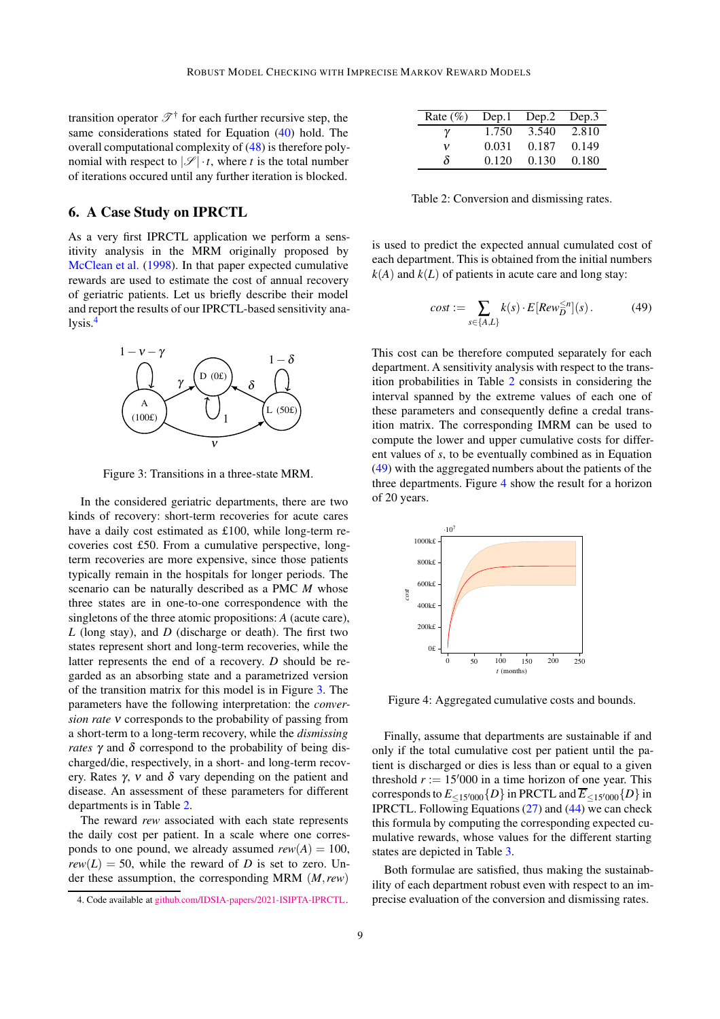transition operator  $\mathscr{T}^{\dagger}$  for each further recursive step, the same considerations stated for Equation [\(40\)](#page-6-3) hold. The overall computational complexity of [\(48\)](#page-7-4) is therefore polynomial with respect to  $|\mathscr{S}| \cdot t$ , where *t* is the total number of iterations occured until any further iteration is blocked.

## <span id="page-8-0"></span>6. A Case Study on IPRCTL

As a very first IPRCTL application we perform a sensitivity analysis in the MRM originally proposed by [McClean et al.](#page-10-5) [\(1998\)](#page-10-5). In that paper expected cumulative rewards are used to estimate the cost of annual recovery of geriatric patients. Let us briefly describe their model and report the results of our IPRCTL-based sensitivity analysis.[4](#page-8-1)



<span id="page-8-2"></span>Figure 3: Transitions in a three-state MRM.

In the considered geriatric departments, there are two kinds of recovery: short-term recoveries for acute cares have a daily cost estimated as £100, while long-term recoveries cost £50. From a cumulative perspective, longterm recoveries are more expensive, since those patients typically remain in the hospitals for longer periods. The scenario can be naturally described as a PMC *M* whose three states are in one-to-one correspondence with the singletons of the three atomic propositions: *A* (acute care), *L* (long stay), and *D* (discharge or death). The first two states represent short and long-term recoveries, while the latter represents the end of a recovery. *D* should be regarded as an absorbing state and a parametrized version of the transition matrix for this model is in Figure [3.](#page-8-2) The parameters have the following interpretation: the *conversion rate* <sup>ν</sup> corresponds to the probability of passing from a short-term to a long-term recovery, while the *dismissing rates*  $\gamma$  and  $\delta$  correspond to the probability of being discharged/die, respectively, in a short- and long-term recovery. Rates  $\gamma$ , v and  $\delta$  vary depending on the patient and disease. An assessment of these parameters for different departments is in Table [2.](#page-8-3)

The reward *rew* associated with each state represents the daily cost per patient. In a scale where one corresponds to one pound, we already assumed  $rew(A) = 100$ .  $rew(L) = 50$ , while the reward of *D* is set to zero. Under these assumption, the corresponding MRM (*M*,*rew*)

| Rate $(\% )$ | Dep.1 | Dep.2 | Dep.3 |
|--------------|-------|-------|-------|
| γ            | 1.750 | 3.540 | 2.810 |
| v            | 0.031 | 0.187 | 0.149 |
| δ            | 0.120 | 0.130 | 0.180 |

<span id="page-8-3"></span>Table 2: Conversion and dismissing rates.

is used to predict the expected annual cumulated cost of each department. This is obtained from the initial numbers  $k(A)$  and  $k(L)$  of patients in acute care and long stay:

<span id="page-8-4"></span>
$$
cost := \sum_{s \in \{A, L\}} k(s) \cdot E[Row_{D}^{\leq n}](s).
$$
 (49)

This cost can be therefore computed separately for each department. A sensitivity analysis with respect to the transition probabilities in Table [2](#page-8-3) consists in considering the interval spanned by the extreme values of each one of these parameters and consequently define a credal transition matrix. The corresponding IMRM can be used to compute the lower and upper cumulative costs for different values of *s*, to be eventually combined as in Equation [\(49\)](#page-8-4) with the aggregated numbers about the patients of the three departments. Figure [4](#page-8-5) show the result for a horizon of 20 years.



<span id="page-8-5"></span>Figure 4: Aggregated cumulative costs and bounds.

Finally, assume that departments are sustainable if and only if the total cumulative cost per patient until the patient is discharged or dies is less than or equal to a given threshold  $r := 15'000$  in a time horizon of one year. This corresponds to  $E_{\leq 15'000}$  {D} in PRCTL and  $\overline{E}_{\leq 15'000}$  {D} in IPRCTL. Following Equations [\(27\)](#page-4-9) and [\(44\)](#page-7-5) we can check this formula by computing the corresponding expected cumulative rewards, whose values for the different starting states are depicted in Table [3.](#page-9-14)

Both formulae are satisfied, thus making the sustainability of each department robust even with respect to an imprecise evaluation of the conversion and dismissing rates.

<span id="page-8-1"></span><sup>4.</sup> Code available at [github.com/IDSIA-papers/2021-ISIPTA-IPRCTL.](https://github.com/IDSIA-papers/2021-ISIPTA-IPRCTL)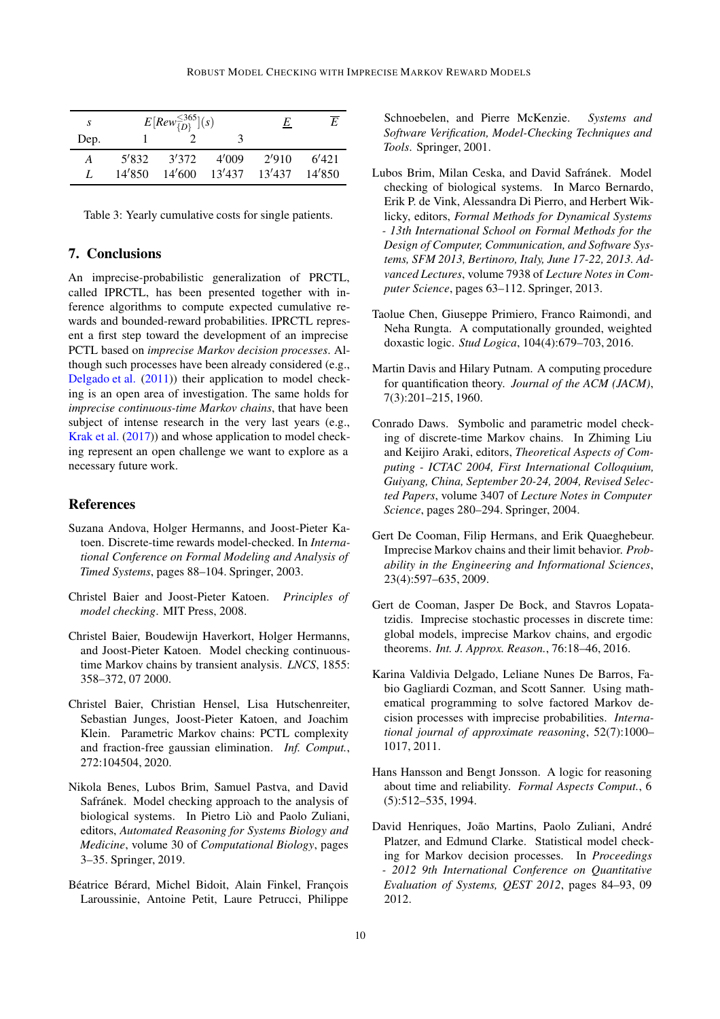| S    |        | $E[Row_{D}^{\leq 365}](s)$ | E      | E      |        |
|------|--------|----------------------------|--------|--------|--------|
| Dep. |        |                            |        |        |        |
| A    | 5'832  | 3'372                      | 4'009  | 2/910  | 6'421  |
| 7.   | 14'850 | 14'600                     | 13'437 | 13'437 | 14'850 |

<span id="page-9-14"></span>Table 3: Yearly cumulative costs for single patients.

# <span id="page-9-12"></span>7. Conclusions

An imprecise-probabilistic generalization of PRCTL, called IPRCTL, has been presented together with inference algorithms to compute expected cumulative rewards and bounded-reward probabilities. IPRCTL represent a first step toward the development of an imprecise PCTL based on *imprecise Markov decision processes*. Although such processes have been already considered (e.g., [Delgado et al.](#page-9-15) [\(2011\)](#page-9-15)) their application to model checking is an open area of investigation. The same holds for *imprecise continuous-time Markov chains*, that have been subject of intense research in the very last years (e.g., [Krak et al.](#page-10-9) [\(2017\)](#page-10-9)) and whose application to model checking represent an open challenge we want to explore as a necessary future work.

# References

- <span id="page-9-6"></span>Suzana Andova, Holger Hermanns, and Joost-Pieter Katoen. Discrete-time rewards model-checked. In *International Conference on Formal Modeling and Analysis of Timed Systems*, pages 88–104. Springer, 2003.
- <span id="page-9-4"></span>Christel Baier and Joost-Pieter Katoen. *Principles of model checking*. MIT Press, 2008.
- <span id="page-9-7"></span>Christel Baier, Boudewijn Haverkort, Holger Hermanns, and Joost-Pieter Katoen. Model checking continuoustime Markov chains by transient analysis. *LNCS*, 1855: 358–372, 07 2000.
- <span id="page-9-10"></span>Christel Baier, Christian Hensel, Lisa Hutschenreiter, Sebastian Junges, Joost-Pieter Katoen, and Joachim Klein. Parametric Markov chains: PCTL complexity and fraction-free gaussian elimination. *Inf. Comput.*, 272:104504, 2020.
- <span id="page-9-2"></span>Nikola Benes, Lubos Brim, Samuel Pastva, and David Safránek. Model checking approach to the analysis of biological systems. In Pietro Liò and Paolo Zuliani, editors, *Automated Reasoning for Systems Biology and Medicine*, volume 30 of *Computational Biology*, pages 3–35. Springer, 2019.
- <span id="page-9-0"></span>Béatrice Bérard, Michel Bidoit, Alain Finkel, François Laroussinie, Antoine Petit, Laure Petrucci, Philippe

Schnoebelen, and Pierre McKenzie. *Systems and Software Verification, Model-Checking Techniques and Tools*. Springer, 2001.

- <span id="page-9-1"></span>Lubos Brim, Milan Ceska, and David Safránek. Model checking of biological systems. In Marco Bernardo, Erik P. de Vink, Alessandra Di Pierro, and Herbert Wiklicky, editors, *Formal Methods for Dynamical Systems - 13th International School on Formal Methods for the Design of Computer, Communication, and Software Systems, SFM 2013, Bertinoro, Italy, June 17-22, 2013. Advanced Lectures*, volume 7938 of *Lecture Notes in Computer Science*, pages 63–112. Springer, 2013.
- <span id="page-9-8"></span>Taolue Chen, Giuseppe Primiero, Franco Raimondi, and Neha Rungta. A computationally grounded, weighted doxastic logic. *Stud Logica*, 104(4):679–703, 2016.
- <span id="page-9-13"></span>Martin Davis and Hilary Putnam. A computing procedure for quantification theory. *Journal of the ACM (JACM)*, 7(3):201–215, 1960.
- <span id="page-9-9"></span>Conrado Daws. Symbolic and parametric model checking of discrete-time Markov chains. In Zhiming Liu and Keijiro Araki, editors, *Theoretical Aspects of Computing - ICTAC 2004, First International Colloquium, Guiyang, China, September 20-24, 2004, Revised Selected Papers*, volume 3407 of *Lecture Notes in Computer Science*, pages 280–294. Springer, 2004.
- Gert De Cooman, Filip Hermans, and Erik Quaeghebeur. Imprecise Markov chains and their limit behavior. *Probability in the Engineering and Informational Sciences*, 23(4):597–635, 2009.
- <span id="page-9-11"></span>Gert de Cooman, Jasper De Bock, and Stavros Lopatatzidis. Imprecise stochastic processes in discrete time: global models, imprecise Markov chains, and ergodic theorems. *Int. J. Approx. Reason.*, 76:18–46, 2016.
- <span id="page-9-15"></span>Karina Valdivia Delgado, Leliane Nunes De Barros, Fabio Gagliardi Cozman, and Scott Sanner. Using mathematical programming to solve factored Markov decision processes with imprecise probabilities. *International journal of approximate reasoning*, 52(7):1000– 1017, 2011.
- <span id="page-9-3"></span>Hans Hansson and Bengt Jonsson. A logic for reasoning about time and reliability. *Formal Aspects Comput.*, 6 (5):512–535, 1994.
- <span id="page-9-5"></span>David Henriques, João Martins, Paolo Zuliani, André Platzer, and Edmund Clarke. Statistical model checking for Markov decision processes. In *Proceedings - 2012 9th International Conference on Quantitative Evaluation of Systems, QEST 2012*, pages 84–93, 09 2012.